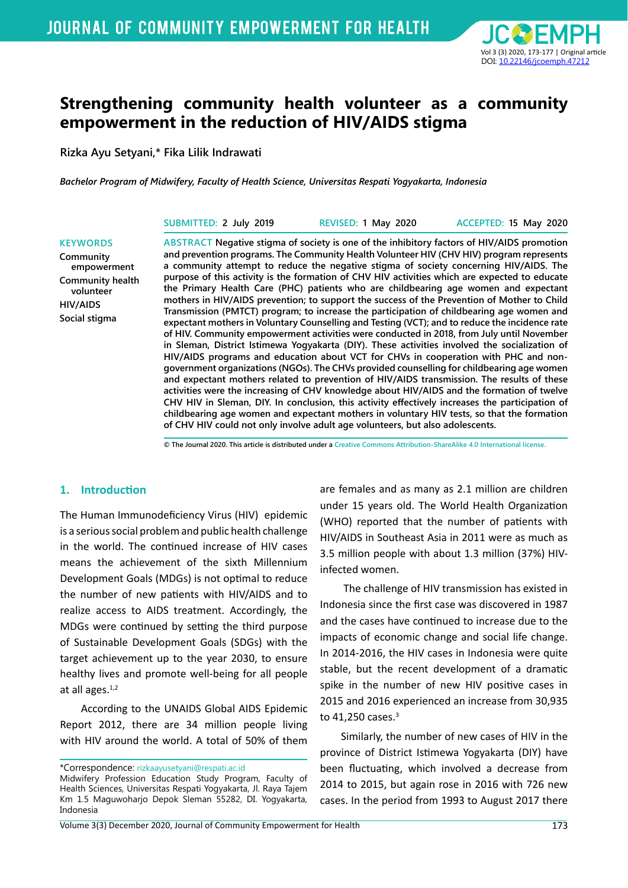

# **Strengthening community health volunteer as a community empowerment in the reduction of HIV/AIDS stigma**

**Rizka Ayu Setyani,\* Fika Lilik Indrawati**

*Bachelor Program of Midwifery, Faculty of Health Science, Universitas Respati Yogyakarta, Indonesia*

| SUBMITTED: 2 July 2019 | REVISED: 1 May 2020                                                                        | ACCEPTED: 15 May 2020 |
|------------------------|--------------------------------------------------------------------------------------------|-----------------------|
|                        | ARCTRACT Nogotive stigma of society is one of the inhibitory factors of HIV/AIDC promotion |                       |

**Community empowerment Community health volunteer HIV/AIDS Social stigma**

**KEYWORDS**

**ABSTRACT Negative stigma of society is one of the inhibitory factors of HIV/AIDS promotion and prevention programs. The Community Health Volunteer HIV (CHV HIV) program represents a community attempt to reduce the negative stigma of society concerning HIV/AIDS. The purpose of this activity is the formation of CHV HIV activities which are expected to educate the Primary Health Care (PHC) patients who are childbearing age women and expectant mothers in HIV/AIDS prevention; to support the success of the Prevention of Mother to Child Transmission (PMTCT) program; to increase the participation of childbearing age women and expectant mothers in Voluntary Counselling and Testing (VCT); and to reduce the incidence rate of HIV. Community empowerment activities were conducted in 2018, from July until November in Sleman, District Istimewa Yogyakarta (DIY). These activities involved the socialization of HIV/AIDS programs and education about VCT for CHVs in cooperation with PHC and nongovernment organizations (NGOs). The CHVs provided counselling for childbearing age women and expectant mothers related to prevention of HIV/AIDS transmission. The results of these activities were the increasing of CHV knowledge about HIV/AIDS and the formation of twelve CHV HIV in Sleman, DIY. In conclusion, this activity effectively increases the participation of childbearing age women and expectant mothers in voluntary HIV tests, so that the formation of CHV HIV could not only involve adult age volunteers, but also adolescents.** 

**© The Journal 2020. This article is distributed under a Creative Commons Attribution-ShareAlike 4.0 International license.**

#### **1. Introduction**

The Human Immunodeficiency Virus (HIV) epidemic is a serious social problem and public health challenge in the world. The continued increase of HIV cases means the achievement of the sixth Millennium Development Goals (MDGs) is not optimal to reduce the number of new patients with HIV/AIDS and to realize access to AIDS treatment. Accordingly, the MDGs were continued by setting the third purpose of Sustainable Development Goals (SDGs) with the target achievement up to the year 2030, to ensure healthy lives and promote well-being for all people at all ages. $1,2$ 

According to the UNAIDS Global AIDS Epidemic Report 2012, there are 34 million people living with HIV around the world. A total of 50% of them

\*Correspondence: rizkaayusetyani@respati.ac.id

are females and as many as 2.1 million are children under 15 years old. The World Health Organization (WHO) reported that the number of patients with HIV/AIDS in Southeast Asia in 2011 were as much as 3.5 million people with about 1.3 million (37%) HIVinfected women.

 The challenge of HIV transmission has existed in Indonesia since the first case was discovered in 1987 and the cases have continued to increase due to the impacts of economic change and social life change. In 2014-2016, the HIV cases in Indonesia were quite stable, but the recent development of a dramatic spike in the number of new HIV positive cases in 2015 and 2016 experienced an increase from 30,935 to  $41,250$  cases. $3$ 

Similarly, the number of new cases of HIV in the province of District Istimewa Yogyakarta (DIY) have been fluctuating, which involved a decrease from 2014 to 2015, but again rose in 2016 with 726 new cases. In the period from 1993 to August 2017 there

Midwifery Profession Education Study Program, Faculty of Health Sciences, Universitas Respati Yogyakarta, Jl. Raya Tajem Km 1.5 Maguwoharjo Depok Sleman 55282, DI. Yogyakarta, Indonesia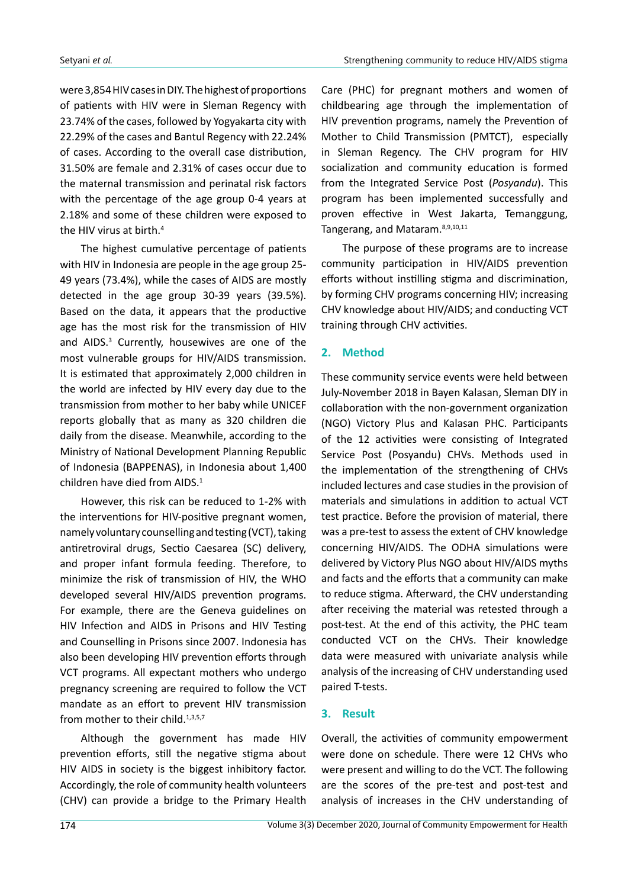were 3,854 HIV cases in DIY. The highest of proportions of patients with HIV were in Sleman Regency with 23.74% of the cases, followed by Yogyakarta city with 22.29% of the cases and Bantul Regency with 22.24% of cases. According to the overall case distribution, 31.50% are female and 2.31% of cases occur due to the maternal transmission and perinatal risk factors with the percentage of the age group 0-4 years at 2.18% and some of these children were exposed to the HIV virus at birth.4

The highest cumulative percentage of patients with HIV in Indonesia are people in the age group 25- 49 years (73.4%), while the cases of AIDS are mostly detected in the age group 30-39 years (39.5%). Based on the data, it appears that the productive age has the most risk for the transmission of HIV and AIDS.<sup>3</sup> Currently, housewives are one of the most vulnerable groups for HIV/AIDS transmission. It is estimated that approximately 2,000 children in the world are infected by HIV every day due to the transmission from mother to her baby while UNICEF reports globally that as many as 320 children die daily from the disease. Meanwhile, according to the Ministry of National Development Planning Republic of Indonesia (BAPPENAS), in Indonesia about 1,400 children have died from AIDS.<sup>1</sup>

However, this risk can be reduced to 1-2% with the interventions for HIV-positive pregnant women, namely voluntary counselling and testing (VCT), taking antiretroviral drugs, Sectio Caesarea (SC) delivery, and proper infant formula feeding. Therefore, to minimize the risk of transmission of HIV, the WHO developed several HIV/AIDS prevention programs. For example, there are the Geneva guidelines on HIV Infection and AIDS in Prisons and HIV Testing and Counselling in Prisons since 2007. Indonesia has also been developing HIV prevention efforts through VCT programs. All expectant mothers who undergo pregnancy screening are required to follow the VCT mandate as an effort to prevent HIV transmission from mother to their child.<sup>1,3,5,7</sup>

Although the government has made HIV prevention efforts, still the negative stigma about HIV AIDS in society is the biggest inhibitory factor. Accordingly, the role of community health volunteers (CHV) can provide a bridge to the Primary Health

Care (PHC) for pregnant mothers and women of childbearing age through the implementation of HIV prevention programs, namely the Prevention of Mother to Child Transmission (PMTCT), especially in Sleman Regency. The CHV program for HIV socialization and community education is formed from the Integrated Service Post (*Posyandu*). This program has been implemented successfully and proven effective in West Jakarta, Temanggung, Tangerang, and Mataram.8,9,10,11

The purpose of these programs are to increase community participation in HIV/AIDS prevention efforts without instilling stigma and discrimination, by forming CHV programs concerning HIV; increasing CHV knowledge about HIV/AIDS; and conducting VCT training through CHV activities.

### **2. Method**

These community service events were held between July-November 2018 in Bayen Kalasan, Sleman DIY in collaboration with the non-government organization (NGO) Victory Plus and Kalasan PHC. Participants of the 12 activities were consisting of Integrated Service Post (Posyandu) CHVs. Methods used in the implementation of the strengthening of CHVs included lectures and case studies in the provision of materials and simulations in addition to actual VCT test practice. Before the provision of material, there was a pre-test to assess the extent of CHV knowledge concerning HIV/AIDS. The ODHA simulations were delivered by Victory Plus NGO about HIV/AIDS myths and facts and the efforts that a community can make to reduce stigma. Afterward, the CHV understanding after receiving the material was retested through a post-test. At the end of this activity, the PHC team conducted VCT on the CHVs. Their knowledge data were measured with univariate analysis while analysis of the increasing of CHV understanding used paired T-tests.

### **3. Result**

Overall, the activities of community empowerment were done on schedule. There were 12 CHVs who were present and willing to do the VCT. The following are the scores of the pre-test and post-test and analysis of increases in the CHV understanding of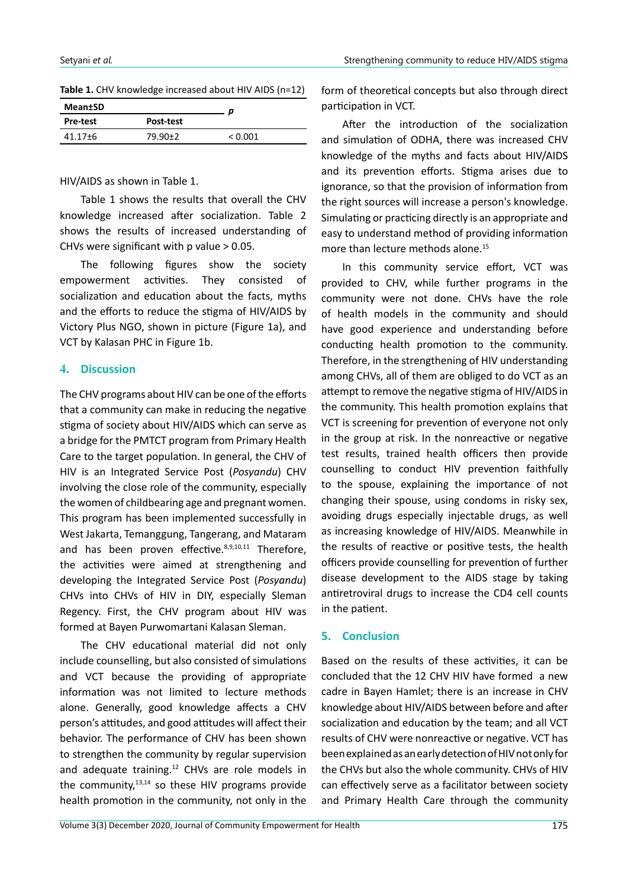| Table 1. CHV knowledge increased about HIV AIDS (n=12) |  |
|--------------------------------------------------------|--|
|--------------------------------------------------------|--|

| <b>Mean±SD</b> |               |         |  |
|----------------|---------------|---------|--|
| Pre-test       | Post-test     |         |  |
| $41.17 \pm 6$  | $79.90 \pm 2$ | < 0.001 |  |

HIV/AIDS as shown in Table 1.

Table 1 shows the results that overall the CHV knowledge increased after socialization. Table 2 shows the results of increased understanding of CHVs were significant with p value > 0.05.

The following figures show the society empowerment activities. They consisted of socialization and education about the facts, myths and the efforts to reduce the stigma of HIV/AIDS by Victory Plus NGO, shown in picture (Figure 1a), and VCT by Kalasan PHC in Figure 1b.

#### **4. Discussion**

The CHV programs about HIV can be one of the efforts that a community can make in reducing the negative stigma of society about HIV/AIDS which can serve as a bridge for the PMTCT program from Primary Health Care to the target population. In general, the CHV of HIV is an Integrated Service Post (*Posyandu*) CHV involving the close role of the community, especially the women of childbearing age and pregnant women. This program has been implemented successfully in West Jakarta, Temanggung, Tangerang, and Mataram and has been proven effective.<sup>8,9,10,11</sup> Therefore. the activities were aimed at strengthening and developing the Integrated Service Post (*Posyandu*) CHVs into CHVs of HIV in DIY, especially Sleman Regency. First, the CHV program about HIV was formed at Bayen Purwomartani Kalasan Sleman.

The CHV educational material did not only include counselling, but also consisted of simulations and VCT because the providing of appropriate information was not limited to lecture methods alone. Generally, good knowledge affects a CHV person's attitudes, and good attitudes will affect their behavior. The performance of CHV has been shown to strengthen the community by regular supervision and adequate training.<sup>12</sup> CHVs are role models in the community, $13,14$  so these HIV programs provide health promotion in the community, not only in the

form of theoretical concepts but also through direct participation in VCT.

After the introduction of the socialization and simulation of ODHA, there was increased CHV knowledge of the myths and facts about HIV/AIDS and its prevention efforts. Stigma arises due to ignorance, so that the provision of information from the right sources will increase a person's knowledge. Simulating or practicing directly is an appropriate and easy to understand method of providing information more than lecture methods alone.<sup>15</sup>

In this community service effort, VCT was provided to CHV, while further programs in the community were not done. CHVs have the role of health models in the community and should have good experience and understanding before conducting health promotion to the community. Therefore, in the strengthening of HIV understanding among CHVs, all of them are obliged to do VCT as an attempt to remove the negative stigma of HIV/AIDS in the community. This health promotion explains that VCT is screening for prevention of everyone not only in the group at risk. In the nonreactive or negative test results, trained health officers then provide counselling to conduct HIV prevention faithfully to the spouse, explaining the importance of not changing their spouse, using condoms in risky sex, avoiding drugs especially injectable drugs, as well as increasing knowledge of HIV/AIDS. Meanwhile in the results of reactive or positive tests, the health officers provide counselling for prevention of further disease development to the AIDS stage by taking antiretroviral drugs to increase the CD4 cell counts in the patient.

### **5. Conclusion**

Based on the results of these activities, it can be concluded that the 12 CHV HIV have formed a new cadre in Bayen Hamlet; there is an increase in CHV knowledge about HIV/AIDS between before and after socialization and education by the team; and all VCT results of CHV were nonreactive or negative. VCT has been explained as an early detection of HIV not only for the CHVs but also the whole community. CHVs of HIV can effectively serve as a facilitator between society and Primary Health Care through the community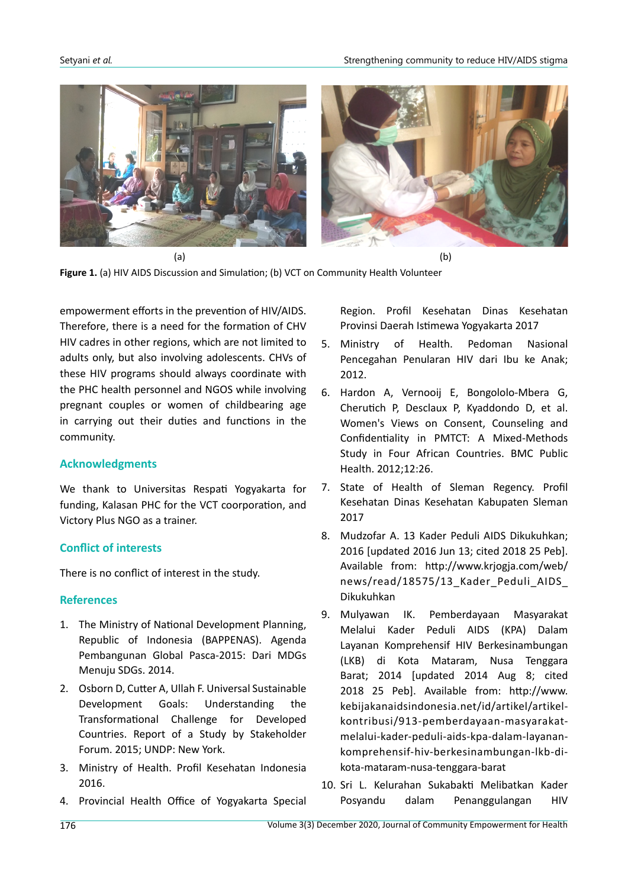



empowerment efforts in the prevention of HIV/AIDS. Therefore, there is a need for the formation of CHV HIV cadres in other regions, which are not limited to adults only, but also involving adolescents. CHVs of these HIV programs should always coordinate with the PHC health personnel and NGOS while involving pregnant couples or women of childbearing age in carrying out their duties and functions in the community.

### **Acknowledgments**

We thank to Universitas Respati Yogyakarta for funding, Kalasan PHC for the VCT coorporation, and Victory Plus NGO as a trainer.

# **Conflict of interests**

There is no conflict of interest in the study.

# **References**

- 1. The Ministry of National Development Planning, Republic of Indonesia (BAPPENAS). Agenda Pembangunan Global Pasca-2015: Dari MDGs Menuju SDGs. 2014.
- 2. Osborn D, Cutter A, Ullah F. Universal Sustainable Development Goals: Understanding the Transformational Challenge for Developed Countries. Report of a Study by Stakeholder Forum. 2015; UNDP: New York.
- 3. Ministry of Health. Profil Kesehatan Indonesia 2016.
- 4. Provincial Health Office of Yogyakarta Special

Region. Profil Kesehatan Dinas Kesehatan Provinsi Daerah Istimewa Yogyakarta 2017

- 5. Ministry of Health. Pedoman Nasional Pencegahan Penularan HIV dari Ibu ke Anak; 2012.
- 6. Hardon A, Vernooij E, Bongololo-Mbera G, Cherutich P, Desclaux P, Kyaddondo D, et al. Women's Views on Consent, Counseling and Confidentiality in PMTCT: A Mixed-Methods Study in Four African Countries. BMC Public Health. 2012;12:26.
- 7. State of Health of Sleman Regency. Profil Kesehatan Dinas Kesehatan Kabupaten Sleman 2017
- 8. Mudzofar A. 13 Kader Peduli AIDS Dikukuhkan; 2016 [updated 2016 Jun 13; cited 2018 25 Peb]. Available from: http://www.krjogja.com/web/ news/read/18575/13\_Kader\_Peduli\_AIDS\_ Dikukuhkan
- 9. Mulyawan IK. Pemberdayaan Masyarakat Melalui Kader Peduli AIDS (KPA) Dalam Layanan Komprehensif HIV Berkesinambungan (LKB) di Kota Mataram, Nusa Tenggara Barat; 2014 [updated 2014 Aug 8; cited 2018 25 Peb]. Available from: http://www. kebijakanaidsindonesia.net/id/artikel/artikelkontribusi/913-pemberdayaan-masyarakatmelalui-kader-peduli-aids-kpa-dalam-layanankomprehensif-hiv-berkesinambungan-lkb-dikota-mataram-nusa-tenggara-barat
- 10. Sri L. Kelurahan Sukabakti Melibatkan Kader Posyandu dalam Penanggulangan HIV